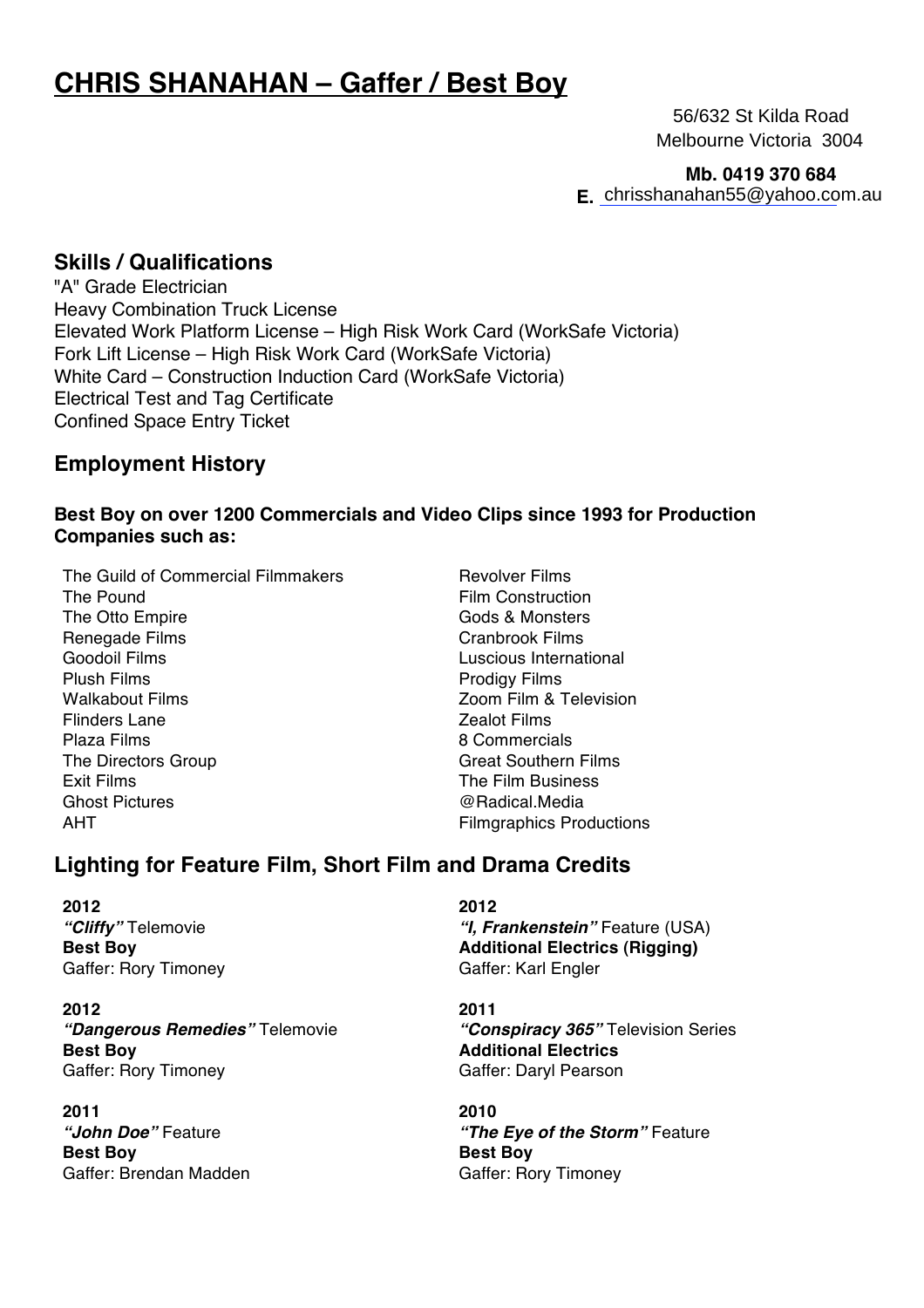# **CHRIS SHANAHAN – Gaffer / Best Boy**

 56/632 St Kilda Road Melbourne Victoria 3004

**Mb. 0419 370 684**

**E.**  chrisshanahan55@yahoo.com.au

#### **Skills / Qualifications**

"A" Grade Electrician Heavy Combination Truck License Elevated Work Platform License – High Risk Work Card (WorkSafe Victoria) Fork Lift License – High Risk Work Card (WorkSafe Victoria) White Card – Construction Induction Card (WorkSafe Victoria) Electrical Test and Tag Certificate Confined Space Entry Ticket

### **Employment History**

#### **Best Boy on over 1200 Commercials and Video Clips since 1993 for Production Companies such as:**

The Guild of Commercial Filmmakers **Revolver Films** The Pound Film Construction The Otto Empire Gods & Monsters Renegade Films **Cranbrook Films** Goodoil Films Luscious International Plush Films **Prodigy Films** Walkabout Films Zoom Film & Television Flinders Lane **Zealot Films** Plaza Films 8 Commercials The Directors Group Great Southern Films Exit Films The Film Business Ghost Pictures **and Contact Contact Contact Contact Contact Contact Contact Contact Contact Contact Contact Contact Contact Contact Contact Contact Contact Contact Contact Contact Contact Contact Contact Contact Contact Co** AHT **Filmgraphics Productions** 

## **Lighting for Feature Film, Short Film and Drama Credits**

**2012** *"Cliffy"* Telemovie **Best Boy** Gaffer: Rory Timoney

**2012** *"Dangerous Remedies"* Telemovie **Best Boy** Gaffer: Rory Timoney

**2011** *"John Doe"* Feature **Best Boy** Gaffer: Brendan Madden **2012** *"I, Frankenstein"* Feature (USA) **Additional Electrics (Rigging)** Gaffer: Karl Engler

**2011** *"Conspiracy 365"* Television Series **Additional Electrics** Gaffer: Daryl Pearson

**2010** *"The Eye of the Storm"* Feature **Best Boy** Gaffer: Rory Timoney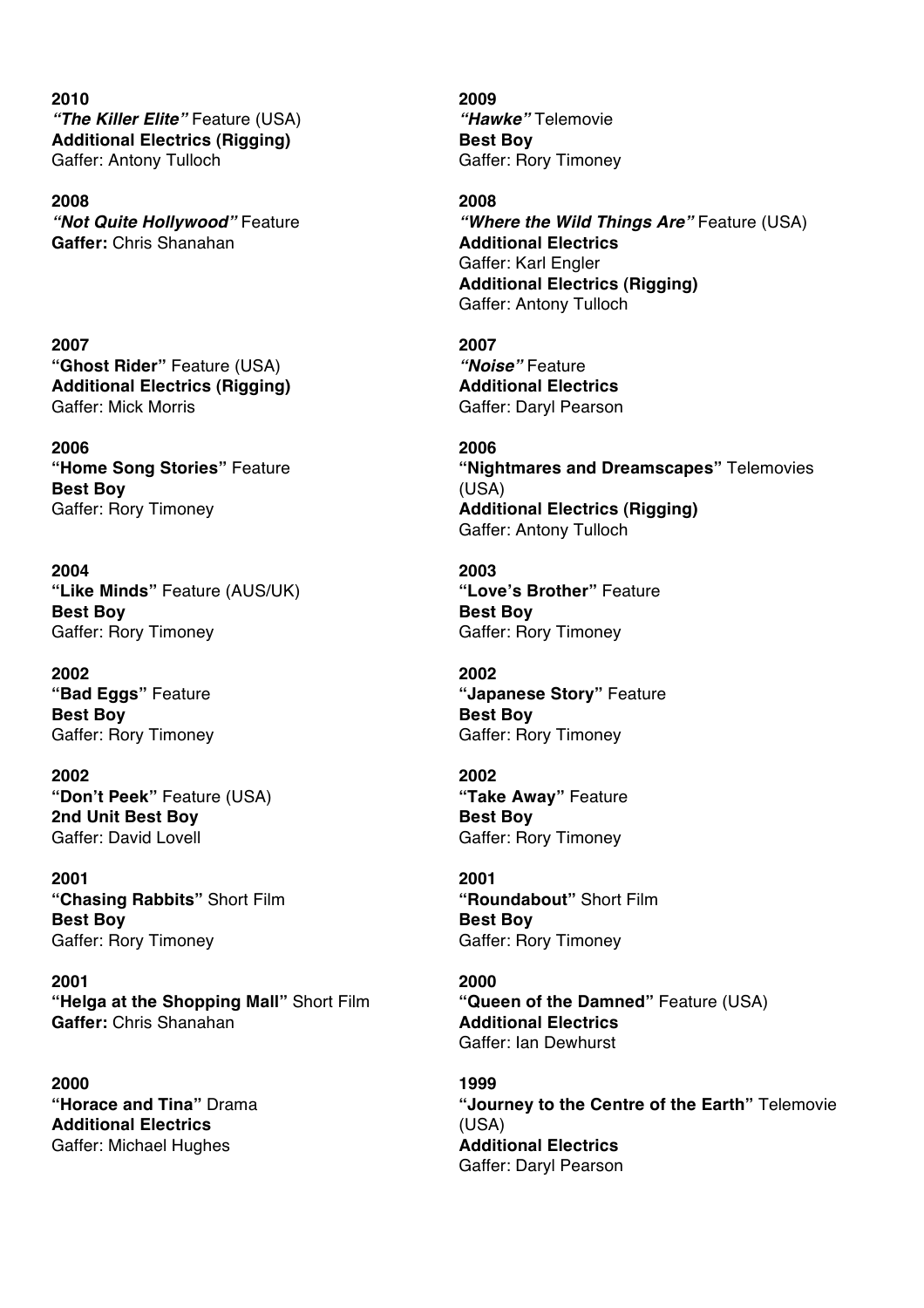**2010** *"The Killer Elite"* Feature (USA) **Additional Electrics (Rigging)** Gaffer: Antony Tulloch

**2008** *"Not Quite Hollywood"* Feature **Gaffer:** Chris Shanahan

**2007 "Ghost Rider"** Feature (USA) **Additional Electrics (Rigging)** Gaffer: Mick Morris

**2006 "Home Song Stories"** Feature **Best Boy** Gaffer: Rory Timoney

**2004 "Like Minds"** Feature (AUS/UK) **Best Boy** Gaffer: Rory Timoney

**2002 "Bad Eggs"** Feature **Best Boy** Gaffer: Rory Timoney

**2002 "Don't Peek"** Feature (USA) **2nd Unit Best Boy** Gaffer: David Lovell

**2001 "Chasing Rabbits"** Short Film **Best Boy** Gaffer: Rory Timoney

**2001 "Helga at the Shopping Mall"** Short Film **Gaffer:** Chris Shanahan

**2000 "Horace and Tina"** Drama **Additional Electrics** Gaffer: Michael Hughes

**2009**  *"Hawke"* Telemovie **Best Boy** Gaffer: Rory Timoney

**2008** *"Where the Wild Things Are"* Feature (USA) **Additional Electrics** Gaffer: Karl Engler **Additional Electrics (Rigging)** Gaffer: Antony Tulloch

**2007** *"Noise"* Feature **Additional Electrics** Gaffer: Daryl Pearson

**2006 "Nightmares and Dreamscapes"** Telemovies (USA) **Additional Electrics (Rigging)** Gaffer: Antony Tulloch

**2003 "Love's Brother"** Feature **Best Boy** Gaffer: Rory Timoney

**2002 "Japanese Story"** Feature **Best Boy** Gaffer: Rory Timoney

**2002 "Take Away"** Feature **Best Boy** Gaffer: Rory Timoney

**2001 "Roundabout"** Short Film **Best Boy** Gaffer: Rory Timoney

**2000 "Queen of the Damned"** Feature (USA) **Additional Electrics** Gaffer: Ian Dewhurst

**1999 "Journey to the Centre of the Earth"** Telemovie (USA) **Additional Electrics** Gaffer: Daryl Pearson